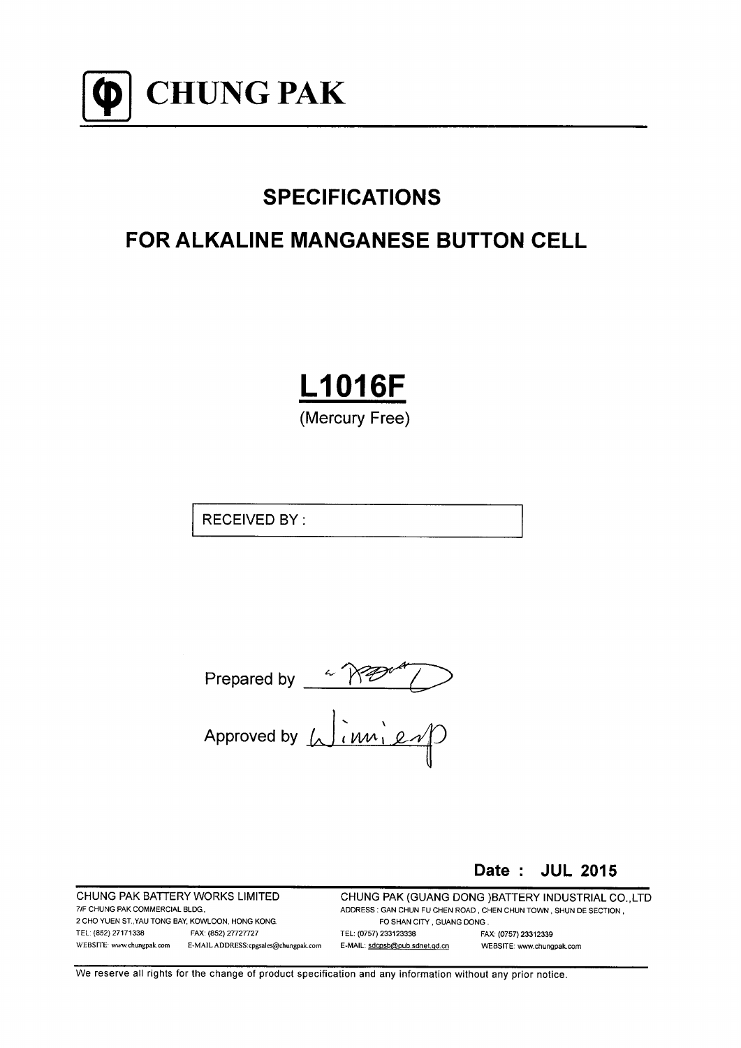

# **SPECIFICATIONS**

# **FOR ALKALINE MANGANESE BUTTON CELL**

**L1016F** (Mercury Free)

**RECEIVED BY:** 

Prepared by  $\sqrt{n}$ <br>Approved by  $\sqrt{\frac{1}{nm} \cdot \frac{e}{\sqrt{n}}}$ 

Date: JUL 2015

CHUNG PAK BATTERY WORKS LIMITED 7/F CHUNG PAK COMMERCIAL BLDG, 2 CHO YUEN ST. YAU TONG BAY, KOWLOON, HONG KONG. TEL: (852) 27171338 FAX: (852) 27727727 WEBSITE: www.chungpak.com E-MAIL ADDRESS:cpgsales@chungpak.com

CHUNG PAK (GUANG DONG )BATTERY INDUSTRIAL CO., LTD ADDRESS: GAN CHUN FU CHEN ROAD, CHEN CHUN TOWN, SHUN DE SECTION, FO SHAN CITY, GUANG DONG. TEL: (0757) 233123338 FAX: (0757) 23312339 E-MAIL: sdcpsb@pub.sdnet.gd.cn WEBSITE: www.chungpak.com

We reserve all rights for the change of product specification and any information without any prior notice.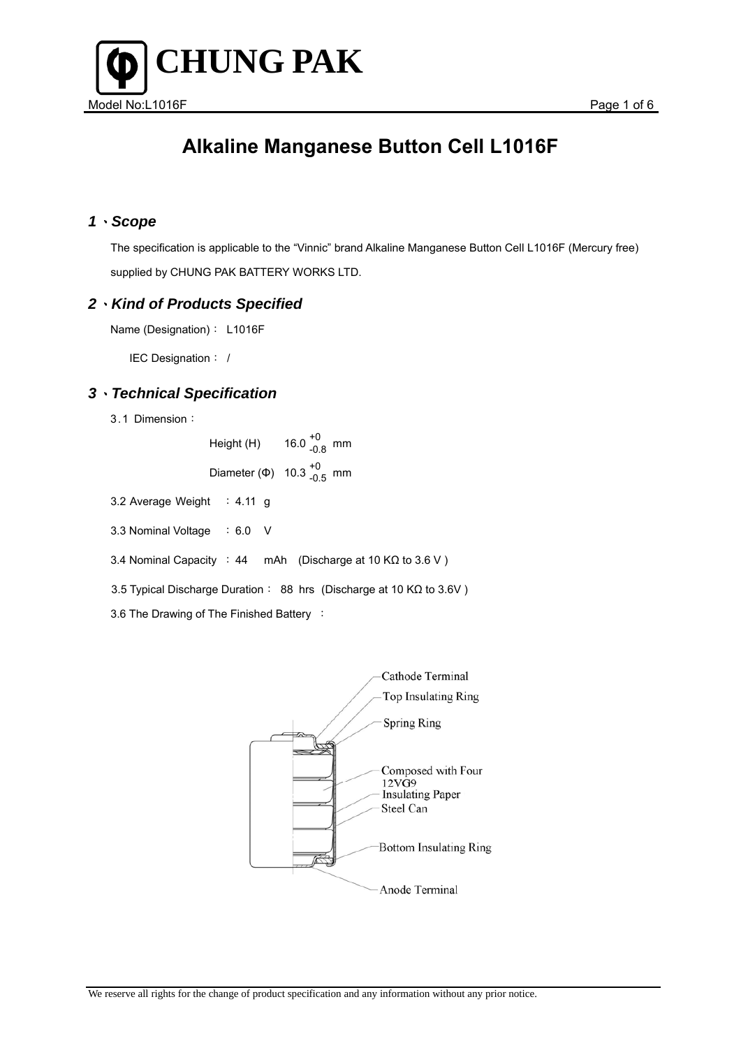

## *1*、*Scope*

 The specification is applicable to the "Vinnic" brand Alkaline Manganese Button Cell L1016F (Mercury free) supplied by CHUNG PAK BATTERY WORKS LTD.

## *2*、*Kind of Products Specified*

Name (Designation): L1016F

IEC Designation: /

## *3*、*Technical Specification*

3.1 Dimension:

 $Height(H)$ 16.0  $^{+0}_{-0.8}$  mm Diameter (Φ)  $10.3^{+0}_{-0.5}$  mm

- 3.2 Average Weight : 4.11 g
- 3.3 Nominal Voltage : 6.0 V
- 3.4 Nominal Capacity : 44 mAh (Discharge at 10 KΩ to 3.6 V )
- 3.5 Typical Discharge Duration: 88 hrs (Discharge at 10 KΩ to 3.6V )
- 3.6 The Drawing of The Finished Battery :

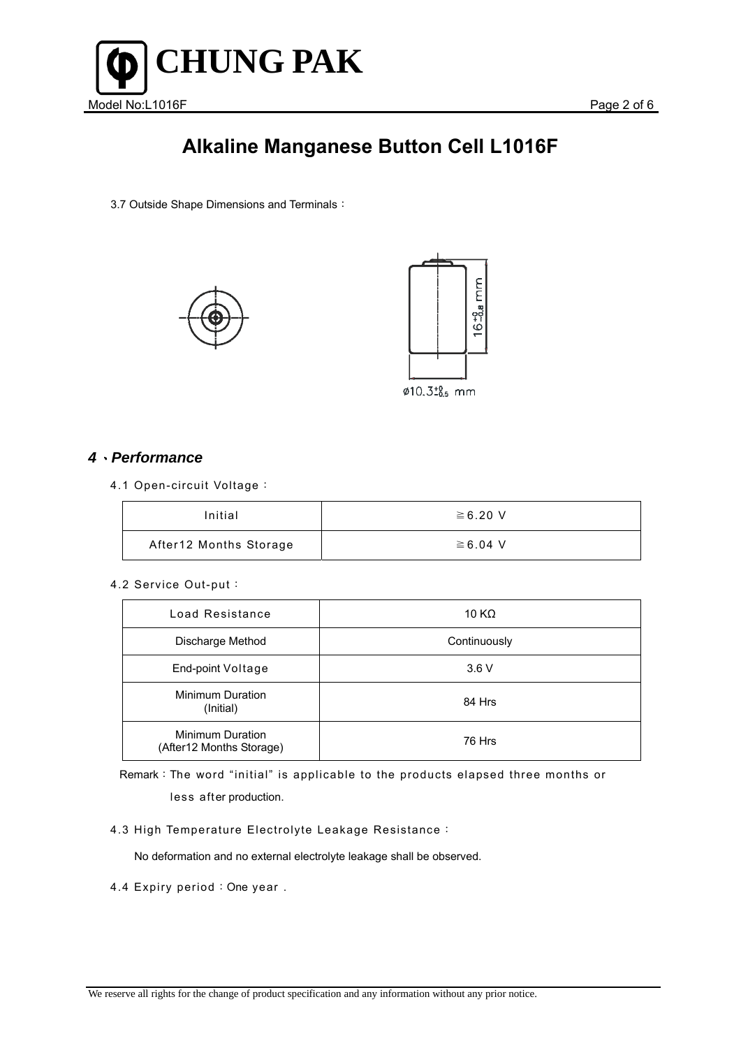

3.7 Outside Shape Dimensions and Terminals:





### *4*、*Performance*

4.1 Open-circuit Voltage:

| Initial                | $\geq 6.20$ V |
|------------------------|---------------|
| After12 Months Storage | $\geq 6.04$ V |

#### 4.2 Service Out-put:

| Load Resistance                                     | 10 K $\Omega$ |
|-----------------------------------------------------|---------------|
| Discharge Method                                    | Continuously  |
| End-point Voltage                                   | 3.6V          |
| Minimum Duration<br>(Initial)                       | 84 Hrs        |
| <b>Minimum Duration</b><br>(After12 Months Storage) | 76 Hrs        |

Remark:The word "initial" is applicable to the products elapsed three months or less after production.

4.3 High Temperature Electrolyte Leakage Resistance:

No deformation and no external electrolyte leakage shall be observed.

4.4 Expiry period: One year.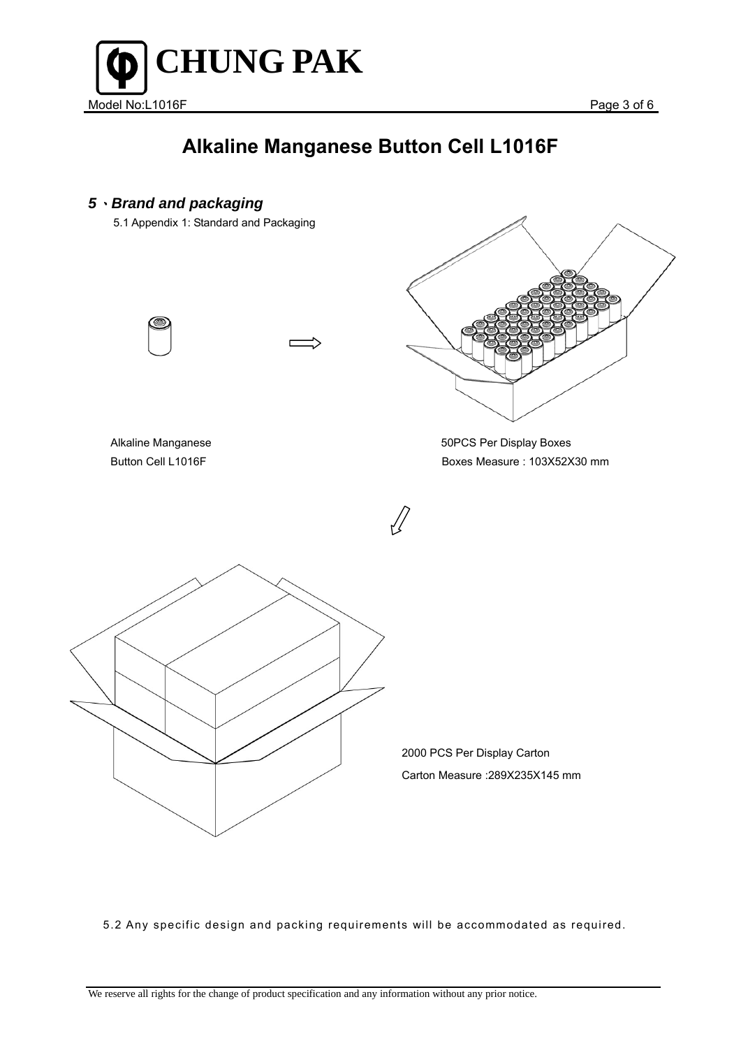

# *5*、*Brand and packaging*  5.1 Appendix 1: Standard and Packaging Alkaline Manganese **50PCS** Per Display Boxes Button Cell L1016F Boxes Measure : 103Χ52Χ30 mm 2000 PCS Per Display Carton Carton Measure :289Χ235Χ145 mm

5.2 Any specific design and packing requirements will be accommodated as required.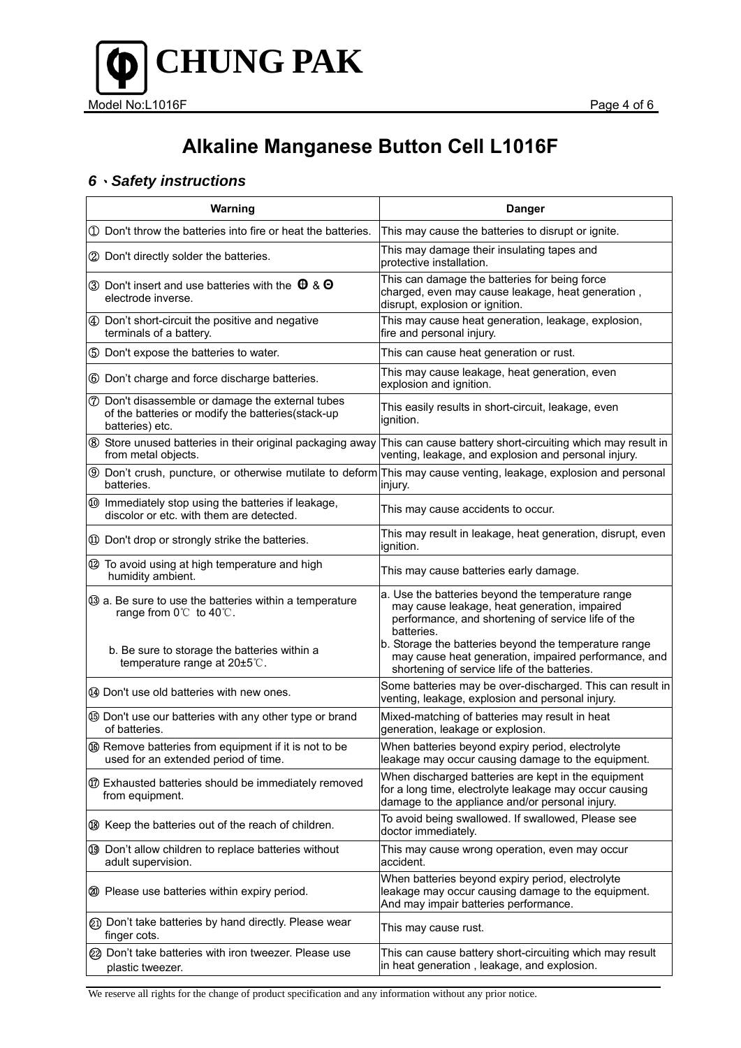

## *6*、*Safety instructions*

| Warning                                                                                                                  | <b>Danger</b>                                                                                                                                                         |
|--------------------------------------------------------------------------------------------------------------------------|-----------------------------------------------------------------------------------------------------------------------------------------------------------------------|
| 10 Don't throw the batteries into fire or heat the batteries.                                                            | This may cause the batteries to disrupt or ignite.                                                                                                                    |
| 2 Don't directly solder the batteries.                                                                                   | This may damage their insulating tapes and<br>protective installation.                                                                                                |
| 3 Don't insert and use batteries with the $\theta$ & $\Theta$<br>electrode inverse.                                      | This can damage the batteries for being force<br>charged, even may cause leakage, heat generation,<br>disrupt, explosion or ignition.                                 |
| 4 Don't short-circuit the positive and negative<br>terminals of a battery.                                               | This may cause heat generation, leakage, explosion,<br>fire and personal injury.                                                                                      |
| 5 Don't expose the batteries to water.                                                                                   | This can cause heat generation or rust.                                                                                                                               |
| 6 Don't charge and force discharge batteries.                                                                            | This may cause leakage, heat generation, even<br>explosion and ignition.                                                                                              |
| ⑦ Don't disassemble or damage the external tubes<br>of the batteries or modify the batteries(stack-up<br>batteries) etc. | This easily results in short-circuit, leakage, even<br>ignition.                                                                                                      |
| 8 Store unused batteries in their original packaging away<br>from metal objects.                                         | This can cause battery short-circuiting which may result in<br>venting, leakage, and explosion and personal injury.                                                   |
| batteries.                                                                                                               | <b>9</b> Don't crush, puncture, or otherwise mutilate to deform This may cause venting, leakage, explosion and personal<br>injury.                                    |
| 100 Immediately stop using the batteries if leakage,<br>discolor or etc. with them are detected.                         | This may cause accidents to occur.                                                                                                                                    |
| 10 Don't drop or strongly strike the batteries.                                                                          | This may result in leakage, heat generation, disrupt, even<br>ignition.                                                                                               |
| 12 To avoid using at high temperature and high<br>humidity ambient.                                                      | This may cause batteries early damage.                                                                                                                                |
| 3 a. Be sure to use the batteries within a temperature<br>range from 0℃ to 40℃.                                          | a. Use the batteries beyond the temperature range<br>may cause leakage, heat generation, impaired<br>performance, and shortening of service life of the<br>batteries. |
| b. Be sure to storage the batteries within a<br>temperature range at 20±5°C.                                             | b. Storage the batteries beyond the temperature range<br>may cause heat generation, impaired performance, and<br>shortening of service life of the batteries.         |
| 4 Don't use old batteries with new ones.                                                                                 | Some batteries may be over-discharged. This can result in<br>venting, leakage, explosion and personal injury.                                                         |
| <b>5</b> Don't use our batteries with any other type or brand<br>of batteries.                                           | Mixed-matching of batteries may result in heat<br>generation, leakage or explosion.                                                                                   |
| <b>6</b> Remove batteries from equipment if it is not to be<br>used for an extended period of time.                      | When batteries beyond expiry period, electrolyte<br>leakage may occur causing damage to the equipment.                                                                |
| <b>10 Exhausted batteries should be immediately removed</b><br>from equipment.                                           | When discharged batteries are kept in the equipment<br>for a long time, electrolyte leakage may occur causing<br>damage to the appliance and/or personal injury.      |
| ® Keep the batteries out of the reach of children.                                                                       | To avoid being swallowed. If swallowed, Please see<br>doctor immediately.                                                                                             |
| 19 Don't allow children to replace batteries without<br>adult supervision.                                               | This may cause wrong operation, even may occur<br>accident.                                                                                                           |
| 20 Please use batteries within expiry period.                                                                            | When batteries beyond expiry period, electrolyte<br>leakage may occur causing damage to the equipment.<br>And may impair batteries performance.                       |
| 20 Don't take batteries by hand directly. Please wear<br>finger cots.                                                    | This may cause rust.                                                                                                                                                  |
| 22 Don't take batteries with iron tweezer. Please use<br>plastic tweezer.                                                | This can cause battery short-circuiting which may result<br>in heat generation, leakage, and explosion.                                                               |

We reserve all rights for the change of product specification and any information without any prior notice.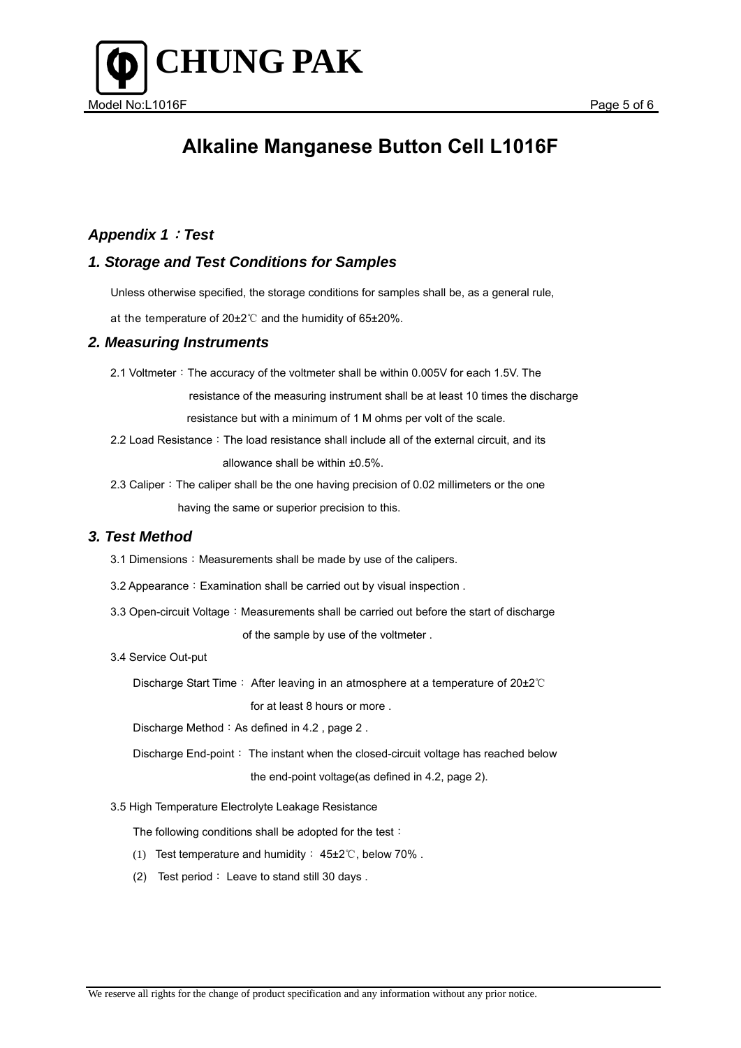

## *Appendix 1*:*Test*

### *1. Storage and Test Conditions for Samples*

Unless otherwise specified, the storage conditions for samples shall be, as a general rule,

at the temperature of 20±2℃ and the humidity of 65±20%.

### *2. Measuring Instruments*

2.1 Voltmeter: The accuracy of the voltmeter shall be within 0.005V for each 1.5V. The

resistance of the measuring instrument shall be at least 10 times the discharge

resistance but with a minimum of 1 M ohms per volt of the scale.

- 2.2 Load Resistance: The load resistance shall include all of the external circuit, and its allowance shall be within ±0.5%.
- 2.3 Caliper: The caliper shall be the one having precision of 0.02 millimeters or the one having the same or superior precision to this.

### *3. Test Method*

- 3.1 Dimensions: Measurements shall be made by use of the calipers.
- 3.2 Appearance: Examination shall be carried out by visual inspection.
- 3.3 Open-circuit Voltage: Measurements shall be carried out before the start of discharge

of the sample by use of the voltmeter .

3.4 Service Out-put

Discharge Start Time: After leaving in an atmosphere at a temperature of 20±2℃

for at least 8 hours or more .

Discharge Method: As defined in 4.2, page 2.

Discharge End-point: The instant when the closed-circuit voltage has reached below the end-point voltage(as defined in 4.2, page 2).

3.5 High Temperature Electrolyte Leakage Resistance

The following conditions shall be adopted for the test:

- (1) Test temperature and humidity: 45±2℃, below 70% .
- (2) Test period: Leave to stand still 30 days .